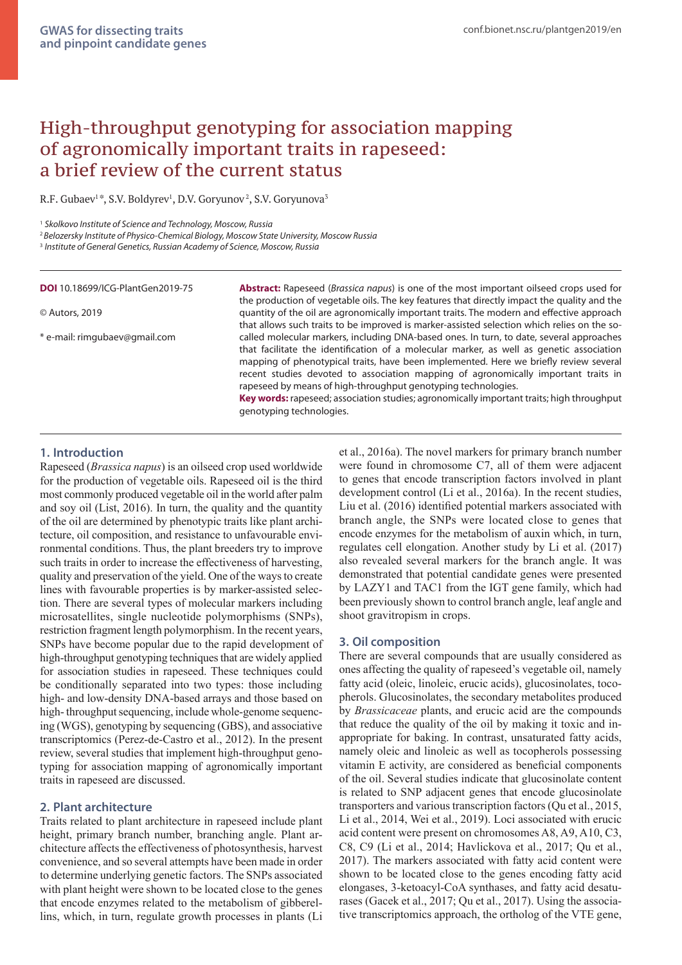# High-throughput genotyping for association mapping of agronomically important traits in rapeseed: a brief review of the current status

R.F. Gubaev<sup>1</sup>\*, S.V. Boldyrev<sup>1</sup>, D.V. Goryunov<sup>2</sup>, S.V. Goryunova<sup>3</sup>

<sup>2</sup>*Belozersky Institute of Physico-Chemical Biology, Moscow State University, Moscow Russia*

<sup>3</sup> *Institute of General Genetics, Russian Academy of Science, Moscow, Russia*

#### **DOI** 10.18699/ICG-PlantGen2019-75

#### © Autors, 2019

\* e-mail: rimgubaev@gmail.com

**Abstract:** Rapeseed (*Brassica napus*) is one of the most important oilseed crops used for the production of vegetable oils. The key features that directly impact the quality and the quantity of the oil are agronomically important traits. The modern and effective approach that allows such traits to be improved is marker-assisted selection which relies on the socalled molecular markers, including DNA-based ones. In turn, to date, several approaches that facilitate the identification of a molecular marker, as well as genetic association mapping of phenotypical traits, have been implemented. Here we briefly review several recent studies devoted to association mapping of agronomically important traits in rapeseed by means of high-throughput genotyping technologies.

**Key words:** rapeseed; association studies; agronomically important traits; high throughput genotyping technologies.

#### **1. Introduction**

Rapeseed (*Brassica napus*) is an oilseed crop used worldwide for the production of vegetable oils. Rapeseed oil is the third most commonly produced vegetable oil in the world after palm and soy oil (List, 2016). In turn, the quality and the quantity of the oil are determined by phenotypic traits like plant architecture, oil composition, and resistance to unfavourable environmental conditions. Thus, the plant breeders try to improve such traits in order to increase the effectiveness of harvesting, quality and preservation of the yield. One of the ways to create lines with favourable properties is by marker-assisted selection. There are several types of molecular markers including microsatellites, single nucleotide polymorphisms (SNPs), restriction fragment length polymorphism. In the recent years, SNPs have become popular due to the rapid development of high-throughput genotyping techniques that are widely applied for association studies in rapeseed. These techniques could be conditionally separated into two types: those including high- and low-density DNA-based arrays and those based on high- throughput sequencing, include whole-genome sequencing (WGS), genotyping by sequencing (GBS), and associative transcriptomics (Perez-de-Castro et al., 2012). In the present review, several studies that implement high-throughput genotyping for association mapping of agronomically important traits in rapeseed are discussed.

## **2. Plant architecture**

Traits related to plant architecture in rapeseed include plant height, primary branch number, branching angle. Plant architecture affects the effectiveness of photosynthesis, harvest convenience, and so several attempts have been made in order to determine underlying genetic factors. The SNPs associated with plant height were shown to be located close to the genes that encode enzymes related to the metabolism of gibberellins, which, in turn, regulate growth processes in plants (Li

et al., 2016a). The novel markers for primary branch number were found in chromosome C7, all of them were adjacent to genes that encode transcription factors involved in plant development control (Li et al., 2016a). In the recent studies, Liu et al. (2016) identified potential markers associated with branch angle, the SNPs were located close to genes that encode enzymes for the metabolism of auxin which, in turn, regulates cell elongation. Another study by Li et al. (2017) also revealed several markers for the branch angle. It was demonstrated that potential candidate genes were presented by LAZY1 and TAC1 from the IGT gene family, which had been previously shown to control branch angle, leaf angle and shoot gravitropism in crops.

## **3. Oil composition**

There are several compounds that are usually considered as ones affecting the quality of rapeseed's vegetable oil, namely fatty acid (oleic, linoleic, erucic acids), glucosinolates, tocopherols. Glucosinolates, the secondary metabolites produced by *Brassicaceae* plants, and erucic acid are the compounds that reduce the quality of the oil by making it toxic and inappropriate for baking. In contrast, unsaturated fatty acids, namely oleic and linoleic as well as tocopherols possessing vitamin E activity, are considered as beneficial components of the oil. Several studies indicate that glucosinolate content is related to SNP adjacent genes that encode glucosinolate transporters and various transcription factors (Qu et al., 2015, Li et al., 2014, Wei et al., 2019). Loci associated with erucic acid content were present on chromosomes A8, A9, A10, C3, C8, C9 (Li et al., 2014; Havlickova et al., 2017; Qu et al., 2017). The markers associated with fatty acid content were shown to be located close to the genes encoding fatty acid elongases, 3-ketoacyl-CoA synthases, and fatty acid desaturases (Gacek et al., 2017; Qu et al., 2017). Using the associative transcriptomics approach, the ortholog of the VTE gene,

<sup>1</sup> *Skolkovo Institute of Science and Technology, Moscow, Russia*